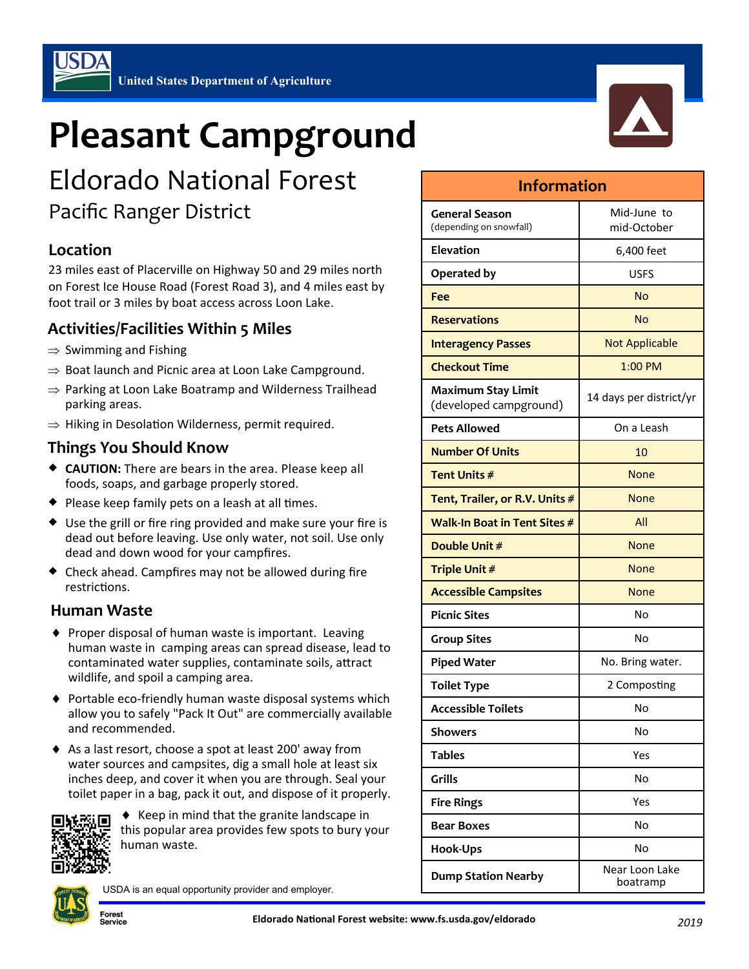## **Pleasant Campground**

# c

### Eldorado National Forest Pacific Ranger District

#### **Location**

23 miles east of Placerville on Highway 50 and 29 miles north on Forest Ice House Road (Forest Road 3), and 4 miles east by foot trail or 3 miles by boat access across Loon Lake.

#### **Activities/Facilities Within 5 Miles**

- $\Rightarrow$  Swimming and Fishing
- $\Rightarrow$  Boat launch and Picnic area at Loon Lake Campground.
- $\Rightarrow$  Parking at Loon Lake Boatramp and Wilderness Trailhead parking areas.
- $\Rightarrow$  Hiking in Desolation Wilderness, permit required.

#### **Things You Should Know**

- **CAUTION:** There are bears in the area. Please keep all foods, soaps, and garbage properly stored.
- $\bullet$  Please keep family pets on a leash at all times.
- Use the grill or fire ring provided and make sure your fire is dead out before leaving. Use only water, not soil. Use only dead and down wood for your campfires.
- Check ahead. Campfires may not be allowed during fire restrictions.

#### **Human Waste**

- ◆ Proper disposal of human waste is important. Leaving human waste in camping areas can spread disease, lead to contaminated water supplies, contaminate soils, attract wildlife, and spoil a camping area.
- ◆ Portable eco-friendly human waste disposal systems which allow you to safely "Pack It Out" are commercially available and recommended.
- ◆ As a last resort, choose a spot at least 200' away from water sources and campsites, dig a small hole at least six inches deep, and cover it when you are through. Seal your toilet paper in a bag, pack it out, and dispose of it properly.



 $\triangle$  Keep in mind that the granite landscape in this popular area provides few spots to bury your human waste.



Forest ervice)

USDA is an equal opportunity provider and employer.

| <b>Information</b>                                  |                            |
|-----------------------------------------------------|----------------------------|
| <b>General Season</b><br>(depending on snowfall)    | Mid-June to<br>mid-October |
| Elevation                                           | 6,400 feet                 |
| Operated by                                         | USFS                       |
| Fee                                                 | No                         |
| <b>Reservations</b>                                 | <b>No</b>                  |
| <b>Interagency Passes</b>                           | <b>Not Applicable</b>      |
| <b>Checkout Time</b>                                | $1:00$ PM                  |
| <b>Maximum Stay Limit</b><br>(developed campground) | 14 days per district/yr    |
| <b>Pets Allowed</b>                                 | On a Leash                 |
| <b>Number Of Units</b>                              | 10                         |
| Tent Units #                                        | <b>None</b>                |
| Tent, Trailer, or R.V. Units #                      | None                       |
| Walk-In Boat in Tent Sites #                        | All                        |
| Double Unit #                                       | <b>None</b>                |
| Triple Unit #                                       | <b>None</b>                |
| <b>Accessible Campsites</b>                         | None                       |
| <b>Picnic Sites</b>                                 | No                         |
| <b>Group Sites</b>                                  | No                         |
| <b>Piped Water</b>                                  | No. Bring water.           |
| <b>Toilet Type</b>                                  | 2 Composting               |
| <b>Accessible Toilets</b>                           | No                         |
| <b>Showers</b>                                      | No                         |
| <b>Tables</b>                                       | Yes                        |
| Grills                                              | No                         |
| <b>Fire Rings</b>                                   | Yes                        |
| <b>Bear Boxes</b>                                   | No                         |
| <b>Hook-Ups</b>                                     | No                         |

boatramp

**Dump Station Nearby**  Near Loon Lake